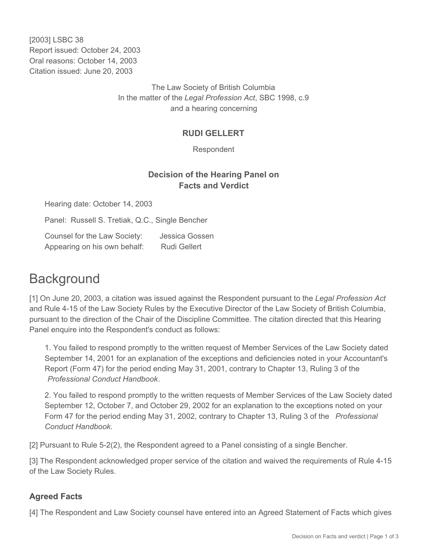[2003] LSBC 38 Report issued: October 24, 2003 Oral reasons: October 14, 2003 Citation issued: June 20, 2003

> The Law Society of British Columbia In the matter of the *Legal Profession Act*, SBC 1998, c.9 and a hearing concerning

## **RUDI GELLERT**

Respondent

## **Decision of the Hearing Panel on Facts and Verdict**

Hearing date: October 14, 2003

Panel: Russell S. Tretiak, Q.C., Single Bencher

Counsel for the Law Society: Jessica Gossen Appearing on his own behalf: Rudi Gellert

## **Background**

[1] On June 20, 2003, a citation was issued against the Respondent pursuant to the *Legal Profession Act* and Rule 4-15 of the Law Society Rules by the Executive Director of the Law Society of British Columbia, pursuant to the direction of the Chair of the Discipline Committee. The citation directed that this Hearing Panel enquire into the Respondent's conduct as follows:

1. You failed to respond promptly to the written request of Member Services of the Law Society dated September 14, 2001 for an explanation of the exceptions and deficiencies noted in your Accountant's Report (Form 47) for the period ending May 31, 2001, contrary to Chapter 13, Ruling 3 of the *Professional Conduct Handbook*.

2. You failed to respond promptly to the written requests of Member Services of the Law Society dated September 12, October 7, and October 29, 2002 for an explanation to the exceptions noted on your Form 47 for the period ending May 31, 2002, contrary to Chapter 13, Ruling 3 of the *Professional Conduct Handbook*.

[2] Pursuant to Rule 5-2(2), the Respondent agreed to a Panel consisting of a single Bencher.

[3] The Respondent acknowledged proper service of the citation and waived the requirements of Rule 4-15 of the Law Society Rules.

## **Agreed Facts**

[4] The Respondent and Law Society counsel have entered into an Agreed Statement of Facts which gives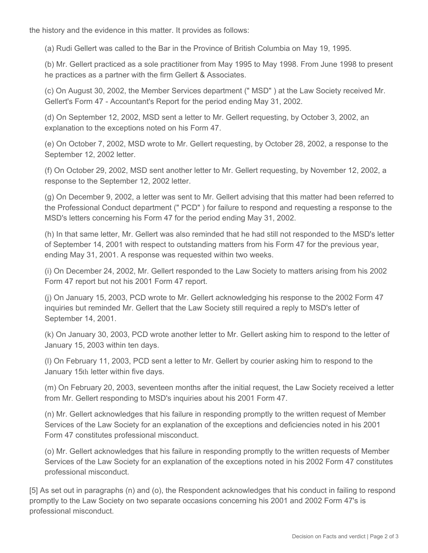the history and the evidence in this matter. It provides as follows:

(a) Rudi Gellert was called to the Bar in the Province of British Columbia on May 19, 1995.

(b) Mr. Gellert practiced as a sole practitioner from May 1995 to May 1998. From June 1998 to present he practices as a partner with the firm Gellert & Associates.

(c) On August 30, 2002, the Member Services department (" MSD" ) at the Law Society received Mr. Gellert's Form 47 - Accountant's Report for the period ending May 31, 2002.

(d) On September 12, 2002, MSD sent a letter to Mr. Gellert requesting, by October 3, 2002, an explanation to the exceptions noted on his Form 47.

(e) On October 7, 2002, MSD wrote to Mr. Gellert requesting, by October 28, 2002, a response to the September 12, 2002 letter.

(f) On October 29, 2002, MSD sent another letter to Mr. Gellert requesting, by November 12, 2002, a response to the September 12, 2002 letter.

(g) On December 9, 2002, a letter was sent to Mr. Gellert advising that this matter had been referred to the Professional Conduct department (" PCD" ) for failure to respond and requesting a response to the MSD's letters concerning his Form 47 for the period ending May 31, 2002.

(h) In that same letter, Mr. Gellert was also reminded that he had still not responded to the MSD's letter of September 14, 2001 with respect to outstanding matters from his Form 47 for the previous year, ending May 31, 2001. A response was requested within two weeks.

(i) On December 24, 2002, Mr. Gellert responded to the Law Society to matters arising from his 2002 Form 47 report but not his 2001 Form 47 report.

(j) On January 15, 2003, PCD wrote to Mr. Gellert acknowledging his response to the 2002 Form 47 inquiries but reminded Mr. Gellert that the Law Society still required a reply to MSD's letter of September 14, 2001.

(k) On January 30, 2003, PCD wrote another letter to Mr. Gellert asking him to respond to the letter of January 15, 2003 within ten days.

(l) On February 11, 2003, PCD sent a letter to Mr. Gellert by courier asking him to respond to the January 15th letter within five days.

(m) On February 20, 2003, seventeen months after the initial request, the Law Society received a letter from Mr. Gellert responding to MSD's inquiries about his 2001 Form 47.

(n) Mr. Gellert acknowledges that his failure in responding promptly to the written request of Member Services of the Law Society for an explanation of the exceptions and deficiencies noted in his 2001 Form 47 constitutes professional misconduct.

(o) Mr. Gellert acknowledges that his failure in responding promptly to the written requests of Member Services of the Law Society for an explanation of the exceptions noted in his 2002 Form 47 constitutes professional misconduct.

[5] As set out in paragraphs (n) and (o), the Respondent acknowledges that his conduct in failing to respond promptly to the Law Society on two separate occasions concerning his 2001 and 2002 Form 47's is professional misconduct.